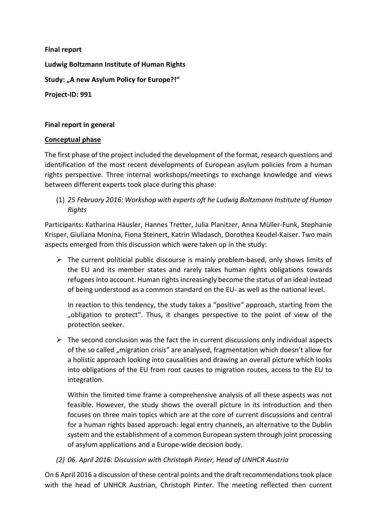Final report Ludwig Boltzmann Institute of Human Rights Study: "A new Asylum Policy for Europe?!" Project-ID: 991

# Final report in general

### Conceptual phase

The first phase of the project included the development of the format, research questions and identification of the most recent developments of European asylum policies from a human rights perspective. Three internal workshops/meetings to exchange knowledge and views between different experts took place during this phase:

(1) 25 February 2016: Workshop with experts oft he Ludwig Boltzmann Institute of Human Rights

Participants: Katharina Häusler, Hannes Tretter, Julia Planitzer, Anna Müller-Funk, Stephanie Krisper, Giuliana Monina, Fiona Steinert, Katrin Wladasch, Dorothea Keudel-Kaiser. Two main aspects emerged from this discussion which were taken up in the study:

 $\triangleright$  The current politicial public discourse is mainly problem-based, only shows limits of the EU and its member states and rarely takes human rights obligations towards refugees into account. Human rights increasingly become the status of an ideal instead of being understood as a common standard on the EU- as well as the national level.

In reaction to this tendency, the study takes a "positive" approach, starting from the "obligation to protect". Thus, it changes perspective to the point of view of the protection seeker.

 $\triangleright$  The second conclusion was the fact the in current discussions only individual aspects of the so called "migration crisis" are analysed, fragmentation which doesn't allow for a holistic approach looking into causalities and drawing an overall picture which looks into obligations of the EU from root causes to migration routes, access to the EU to integration.

Within the limited time frame a comprehensive analysis of all these aspects was not feasible. However, the study shows the overall picture in its introduction and then focuses on three main topics which are at the core of current discussions and central for a human rights based approach: legal entry channels, an alternative to the Dublin system and the establishment of a common European system through joint processing of asylum applications and a Europe-wide decision body.

(2) 06. April 2016: Discussion with Christoph Pinter, Head of UNHCR Austria

On 6 April 2016 a discussion of these central points and the draft recommendations took place with the head of UNHCR Austrian, Christoph Pinter. The meeting reflected then current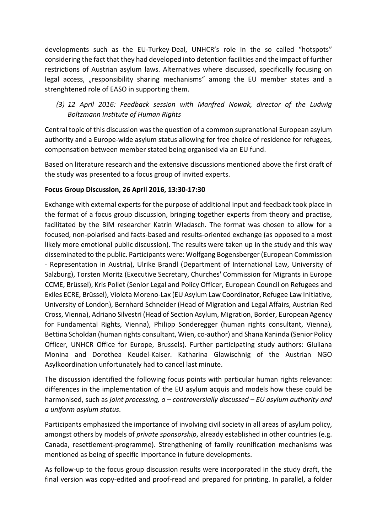developments such as the EU-Turkey-Deal, UNHCR's role in the so called "hotspots" considering the fact that they had developed into detention facilities and the impact of further restrictions of Austrian asylum laws. Alternatives where discussed, specifically focusing on legal access, "responsibility sharing mechanisms" among the EU member states and a strenghtened role of EASO in supporting them.

(3) 12 April 2016: Feedback session with Manfred Nowak, director of the Ludwig Boltzmann Institute of Human Rights

Central topic of this discussion was the question of a common supranational European asylum authority and a Europe-wide asylum status allowing for free choice of residence for refugees, compensation between member stated being organised via an EU fund.

Based on literature research and the extensive discussions mentioned above the first draft of the study was presented to a focus group of invited experts.

# Focus Group Discussion, 26 April 2016, 13:30-17:30

Exchange with external experts for the purpose of additional input and feedback took place in the format of a focus group discussion, bringing together experts from theory and practise, facilitated by the BIM researcher Katrin Wladasch. The format was chosen to allow for a focused, non-polarised and facts-based and results-oriented exchange (as opposed to a most likely more emotional public discussion). The results were taken up in the study and this way disseminated to the public. Participants were: Wolfgang Bogensberger (European Commission - Representation in Austria), Ulrike Brandl (Department of International Law, University of Salzburg), Torsten Moritz (Executive Secretary, Churches' Commission for Migrants in Europe CCME, Brüssel), Kris Pollet (Senior Legal and Policy Officer, European Council on Refugees and Exiles ECRE, Brüssel), Violeta Moreno-Lax (EU Asylum Law Coordinator, Refugee Law Initiative, University of London), Bernhard Schneider (Head of Migration and Legal Affairs, Austrian Red Cross, Vienna), Adriano Silvestri (Head of Section Asylum, Migration, Border, European Agency for Fundamental Rights, Vienna), Philipp Sonderegger (human rights consultant, Vienna), Bettina Scholdan (human rights consultant, Wien, co-author) and Shana Kaninda (Senior Policy Officer, UNHCR Office for Europe, Brussels). Further participating study authors: Giuliana Monina and Dorothea Keudel-Kaiser. Katharina Glawischnig of the Austrian NGO Asylkoordination unfortunately had to cancel last minute.

The discussion identified the following focus points with particular human rights relevance: differences in the implementation of the EU asylum acquis and models how these could be harmonised, such as joint processing,  $a$  – controversially discussed – EU asylum authority and a uniform asylum status.

Participants emphasized the importance of involving civil society in all areas of asylum policy, amongst others by models of *private sponsorship*, already established in other countries (e.g. Canada, resettlement-programme). Strengthening of family reunification mechanisms was mentioned as being of specific importance in future developments.

As follow-up to the focus group discussion results were incorporated in the study draft, the final version was copy-edited and proof-read and prepared for printing. In parallel, a folder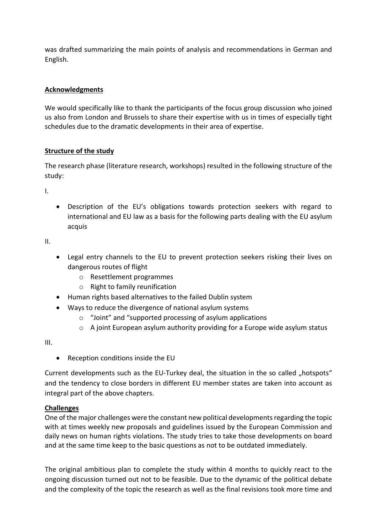was drafted summarizing the main points of analysis and recommendations in German and English.

# Acknowledgments

We would specifically like to thank the participants of the focus group discussion who joined us also from London and Brussels to share their expertise with us in times of especially tight schedules due to the dramatic developments in their area of expertise.

# Structure of the study

The research phase (literature research, workshops) resulted in the following structure of the study:

I.

 Description of the EU's obligations towards protection seekers with regard to international and EU law as a basis for the following parts dealing with the EU asylum acquis

II.

- Legal entry channels to the EU to prevent protection seekers risking their lives on dangerous routes of flight
	- o Resettlement programmes
	- o Right to family reunification
- Human rights based alternatives to the failed Dublin system
- Ways to reduce the divergence of national asylum systems
	- o "Joint" and "supported processing of asylum applications
	- $\circ$  A joint European asylum authority providing for a Europe wide asylum status

III.

• Reception conditions inside the EU

Current developments such as the EU-Turkey deal, the situation in the so called "hotspots" and the tendency to close borders in different EU member states are taken into account as integral part of the above chapters.

### Challenges

One of the major challenges were the constant new political developments regarding the topic with at times weekly new proposals and guidelines issued by the European Commission and daily news on human rights violations. The study tries to take those developments on board and at the same time keep to the basic questions as not to be outdated immediately.

The original ambitious plan to complete the study within 4 months to quickly react to the ongoing discussion turned out not to be feasible. Due to the dynamic of the political debate and the complexity of the topic the research as well as the final revisions took more time and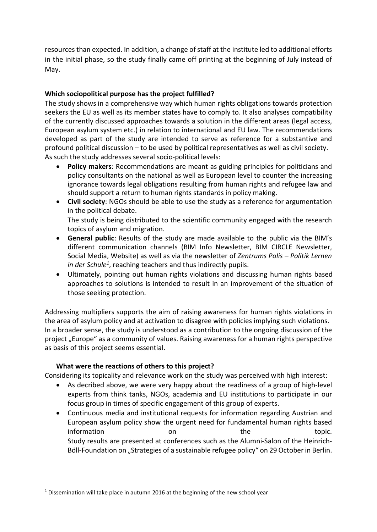resources than expected. In addition, a change of staff at the institute led to additional efforts in the initial phase, so the study finally came off printing at the beginning of July instead of May.

# Which sociopolitical purpose has the project fulfilled?

The study shows in a comprehensive way which human rights obligations towards protection seekers the EU as well as its member states have to comply to. It also analyses compatibility of the currently discussed approaches towards a solution in the different areas (legal access, European asylum system etc.) in relation to international and EU law. The recommendations developed as part of the study are intended to serve as reference for a substantive and profound political discussion – to be used by political representatives as well as civil society. As such the study addresses several socio-political levels:

- Policy makers: Recommendations are meant as guiding principles for politicians and policy consultants on the national as well as European level to counter the increasing ignorance towards legal obligations resulting from human rights and refugee law and should support a return to human rights standards in policy making.
- Civil society: NGOs should be able to use the study as a reference for argumentation in the political debate.

The study is being distributed to the scientific community engaged with the research topics of asylum and migration.

- General public: Results of the study are made available to the public via the BIM's different communication channels (BIM Info Newsletter, BIM CIRCLE Newsletter, Social Media, Website) as well as via the newsletter of Zentrums Polis – Politik Lernen in der Schule<sup>1</sup>, reaching teachers and thus indirectly pupils.
- Ultimately, pointing out human rights violations and discussing human rights based approaches to solutions is intended to result in an improvement of the situation of those seeking protection.

Addressing multipliers supports the aim of raising awareness for human rights violations in the area of asylum policy and at activation to disagree with policies implying such violations. In a broader sense, the study is understood as a contribution to the ongoing discussion of the project "Europe" as a community of values. Raising awareness for a human rights perspective as basis of this project seems essential.

### What were the reactions of others to this project?

Considering its topicality and relevance work on the study was perceived with high interest:

- As decribed above, we were very happy about the readiness of a group of high-level experts from think tanks, NGOs, academia and EU institutions to participate in our focus group in times of specific engagement of this group of experts.
- Continuous media and institutional requests for information regarding Austrian and European asylum policy show the urgent need for fundamental human rights based information on on the topic. Study results are presented at conferences such as the Alumni-Salon of the Heinrich-Böll-Foundation on "Strategies of a sustainable refugee policy" on 29 October in Berlin.

 $\overline{a}$ 

 $1$  Dissemination will take place in autumn 2016 at the beginning of the new school year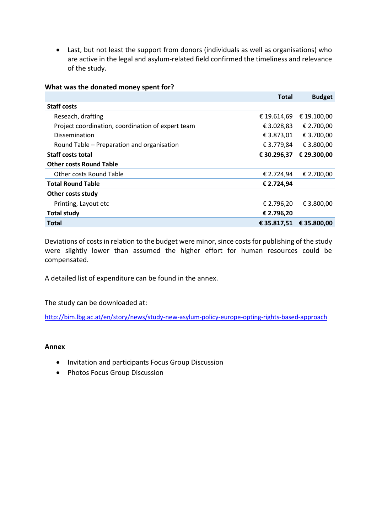Last, but not least the support from donors (individuals as well as organisations) who are active in the legal and asylum-related field confirmed the timeliness and relevance of the study.

|  |  | What was the donated money spent for? |
|--|--|---------------------------------------|
|--|--|---------------------------------------|

|                                                   | Total       | <b>Budget</b> |
|---------------------------------------------------|-------------|---------------|
| <b>Staff costs</b>                                |             |               |
| Reseach, drafting                                 | € 19.614,69 | € 19.100,00   |
| Project coordination, coordination of expert team | € 3.028,83  | € 2.700.00    |
| Dissemination                                     | € 3.873,01  | € 3.700,00    |
| Round Table – Preparation and organisation        | € 3.779,84  | € 3.800,00    |
| <b>Staff costs total</b>                          | € 30.296,37 | € 29.300,00   |
| <b>Other costs Round Table</b>                    |             |               |
| Other costs Round Table                           | € 2.724,94  | € 2.700,00    |
| <b>Total Round Table</b>                          | € 2.724,94  |               |
| Other costs study                                 |             |               |
| Printing, Layout etc                              | € 2.796,20  | € 3.800.00    |
| <b>Total study</b>                                | € 2.796.20  |               |
| Total                                             | € 35.817,51 | € 35.800.00   |

Deviations of costs in relation to the budget were minor, since costs for publishing of the study were slightly lower than assumed the higher effort for human resources could be compensated.

A detailed list of expenditure can be found in the annex.

The study can be downloaded at:

http://bim.lbg.ac.at/en/story/news/study-new-asylum-policy-europe-opting-rights-based-approach

#### Annex

- Invitation and participants Focus Group Discussion
- Photos Focus Group Discussion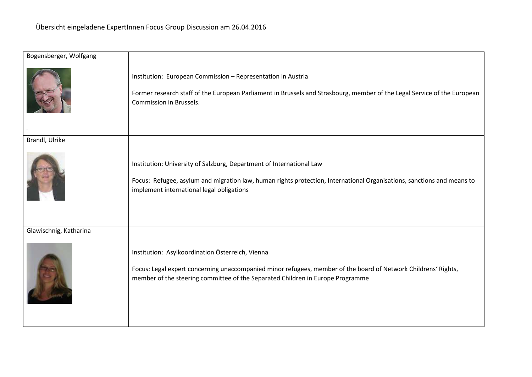| Bogensberger, Wolfgang |                                                                                                                                                                                                                                                      |
|------------------------|------------------------------------------------------------------------------------------------------------------------------------------------------------------------------------------------------------------------------------------------------|
|                        | Institution: European Commission - Representation in Austria<br>Former research staff of the European Parliament in Brussels and Strasbourg, member of the Legal Service of the European<br>Commission in Brussels.                                  |
| Brandl, Ulrike         |                                                                                                                                                                                                                                                      |
|                        | Institution: University of Salzburg, Department of International Law<br>Focus: Refugee, asylum and migration law, human rights protection, International Organisations, sanctions and means to<br>implement international legal obligations          |
| Glawischnig, Katharina |                                                                                                                                                                                                                                                      |
|                        | Institution: Asylkoordination Österreich, Vienna<br>Focus: Legal expert concerning unaccompanied minor refugees, member of the board of Network Childrens' Rights,<br>member of the steering committee of the Separated Children in Europe Programme |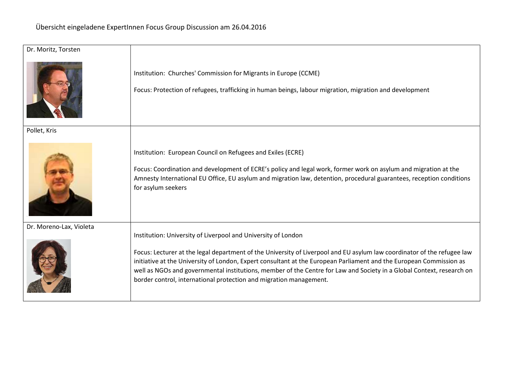| Dr. Moritz, Torsten     |                                                                                                                                                                                                                                                                                                                                                                                                                                               |
|-------------------------|-----------------------------------------------------------------------------------------------------------------------------------------------------------------------------------------------------------------------------------------------------------------------------------------------------------------------------------------------------------------------------------------------------------------------------------------------|
|                         | Institution: Churches' Commission for Migrants in Europe (CCME)<br>Focus: Protection of refugees, trafficking in human beings, labour migration, migration and development                                                                                                                                                                                                                                                                    |
| Pollet, Kris            |                                                                                                                                                                                                                                                                                                                                                                                                                                               |
|                         | Institution: European Council on Refugees and Exiles (ECRE)<br>Focus: Coordination and development of ECRE's policy and legal work, former work on asylum and migration at the<br>Amnesty International EU Office, EU asylum and migration law, detention, procedural guarantees, reception conditions<br>for asylum seekers                                                                                                                  |
| Dr. Moreno-Lax, Violeta | Institution: University of Liverpool and University of London                                                                                                                                                                                                                                                                                                                                                                                 |
|                         | Focus: Lecturer at the legal department of the University of Liverpool and EU asylum law coordinator of the refugee law<br>initiative at the University of London, Expert consultant at the European Parliament and the European Commission as<br>well as NGOs and governmental institutions, member of the Centre for Law and Society in a Global Context, research on<br>border control, international protection and migration management. |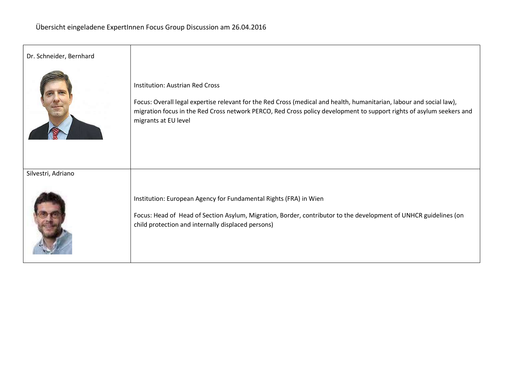| Dr. Schneider, Bernhard |                                                                                                                                                                                                                                                                                                                |
|-------------------------|----------------------------------------------------------------------------------------------------------------------------------------------------------------------------------------------------------------------------------------------------------------------------------------------------------------|
|                         | <b>Institution: Austrian Red Cross</b><br>Focus: Overall legal expertise relevant for the Red Cross (medical and health, humanitarian, labour and social law),<br>migration focus in the Red Cross network PERCO, Red Cross policy development to support rights of asylum seekers and<br>migrants at EU level |
| Silvestri, Adriano      |                                                                                                                                                                                                                                                                                                                |
|                         | Institution: European Agency for Fundamental Rights (FRA) in Wien<br>Focus: Head of Head of Section Asylum, Migration, Border, contributor to the development of UNHCR guidelines (on<br>child protection and internally displaced persons)                                                                    |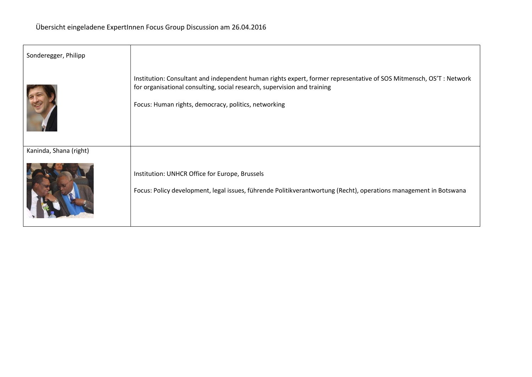| Sonderegger, Philipp   |                                                                                                                                                                                                                                                        |
|------------------------|--------------------------------------------------------------------------------------------------------------------------------------------------------------------------------------------------------------------------------------------------------|
|                        | Institution: Consultant and independent human rights expert, former representative of SOS Mitmensch, OS'T: Network<br>for organisational consulting, social research, supervision and training<br>Focus: Human rights, democracy, politics, networking |
| Kaninda, Shana (right) | Institution: UNHCR Office for Europe, Brussels<br>Focus: Policy development, legal issues, führende Politikverantwortung (Recht), operations management in Botswana                                                                                    |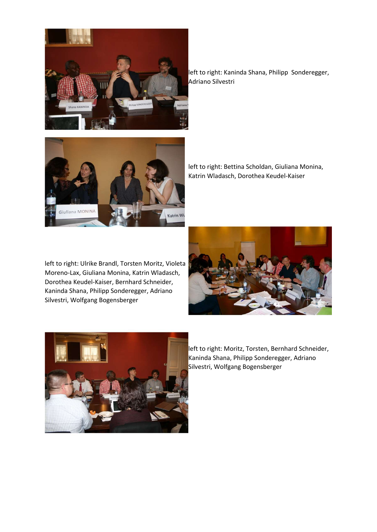

left to right: Kaninda Shana, Philipp Sonderegger, Adriano Silvestri



left to right: Bettina Scholdan, Giuliana Monina, Katrin Wladasch, Dorothea Keudel-Kaiser

left to right: Ulrike Brandl, Torsten Moritz, Violeta Moreno-Lax, Giuliana Monina, Katrin Wladasch, Dorothea Keudel-Kaiser, Bernhard Schneider, Kaninda Shana, Philipp Sonderegger, Adriano Silvestri, Wolfgang Bogensberger





left to right: Moritz, Torsten, Bernhard Schneider, Kaninda Shana, Philipp Sonderegger, Adriano Silvestri, Wolfgang Bogensberger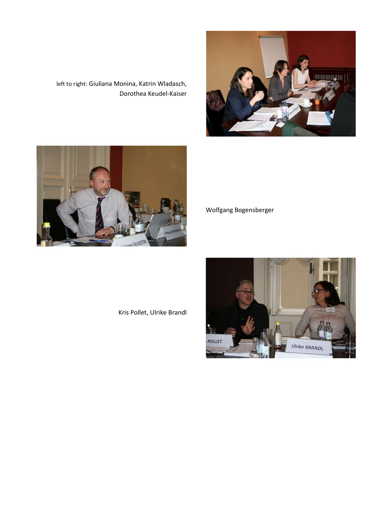

left to right: Giuliana Monina, Katrin Wladasch, Dorothea Keudel-Kaiser



Wolfgang Bogensberger

Kris Pollet, Ulrike Brandl